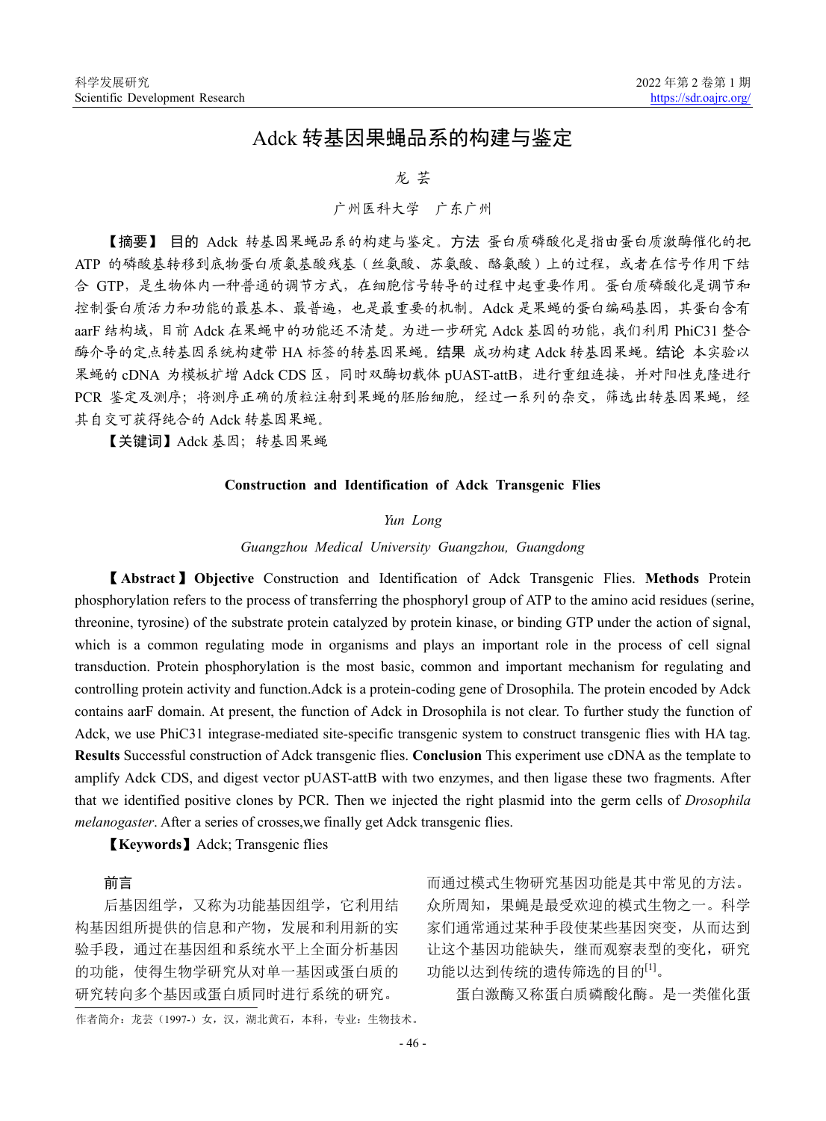# Adck 转基因果蝇品系的构建与鉴定

# 龙 芸

# 广州医科大学 广东广州

【摘要】 目的 Adck 转基因果蝇品系的构建与鉴定。方法 蛋白质磷酸化是指由蛋白质激酶催化的把 ATP 的磷酸基转移到底物蛋白质氨基酸残基(丝氨酸、苏氨酸、酪氨酸)上的过程,或者在信号作用下结 合 GTP,是生物体内一种普通的调节方式,在细胞信号转导的过程中起重要作用。蛋白质磷酸化是调节和 控制蛋白质活力和功能的最基本、最普遍,也是最重要的机制。Adck 是果蝇的蛋白编码基因,其蛋白含有 aarF 结构域, 目前 Adck 在果蝇中的功能还不清楚。为进一步研究 Adck 基因的功能, 我们利用 PhiC31 整合 酶介导的定点转基因系统构建带 HA 标签的转基因果蝇。结果 成功构建 Adck 转基因果蝇。结论 本实验以 果蝇的 cDNA 为模板扩增 Adck CDS 区,同时双酶切载体 pUAST-attB, 进行重组连接, 并对阳性克隆进行 PCR 鉴定及测序;将测序正确的质粒注射到果蝇的胚胎细胞,经过一系列的杂交,筛选出转基因果蝇,经 其自交可获得纯合的 Adck 转基因果蝇。

【关键词】Adck 基因;转基因果蝇

#### **Construction and Identification of Adck Transgenic Flies**

#### *Yun Long*

*Guangzhou Medical University Guangzhou, Guangdong*

【**Abstract**】**Objective** Construction and Identification of Adck Transgenic Flies. **Methods** Protein phosphorylation refers to the process of transferring the phosphoryl group of ATP to the amino acid residues (serine, threonine, tyrosine) of the substrate protein catalyzed by protein kinase, or binding GTP under the action of signal, which is a common regulating mode in organisms and plays an important role in the process of cell signal transduction. Protein phosphorylation is the most basic, common and important mechanism for regulating and controlling protein activity and function.Adck is a protein-coding gene of Drosophila. The protein encoded by Adck contains aarF domain. At present, the function of Adck in Drosophila is not clear. To further study the function of Adck, we use PhiC31 integrase-mediated site-specific transgenic system to construct transgenic flies with HA tag. **Results** Successful construction of Adck transgenic flies. **Conclusion** This experiment use cDNA as the template to amplify Adck CDS, and digest vector pUAST-attB with two enzymes, and then ligase these two fragments. After that we identified positive clones by PCR. Then we injected the right plasmid into the germ cells of *Drosophila melanogaster*. After a series of crosses,we finally get Adck transgenic flies.

【**Keywords**】Adck; Transgenic flies

#### 前言

后基因组学,又称为功能基因组学,它利用结 构基因组所提供的信息和产物,发展和利用新的实 验手段,通过在基因组和系统水平上全面分析基因 的功能,使得生物学研究从对单一基因或蛋白质的 研究转向多个基因或蛋白质同时进行系统的研究。

而通过模式生物研究基因功能是其中常见的方法。 众所周知,果蝇是最受欢迎的模式生物之一。科学 家们通常通过某种手段使某些基因突变,从而达到 让这个基因功能缺失,继而观察表型的变化,研究 功能以达到传统的遗传筛选的目的[1]。

蛋白激酶又称蛋白质磷酸化酶。是一类催化蛋

作者简介:龙芸(1997-)女,汉,湖北黄石,本科,专业:生物技术。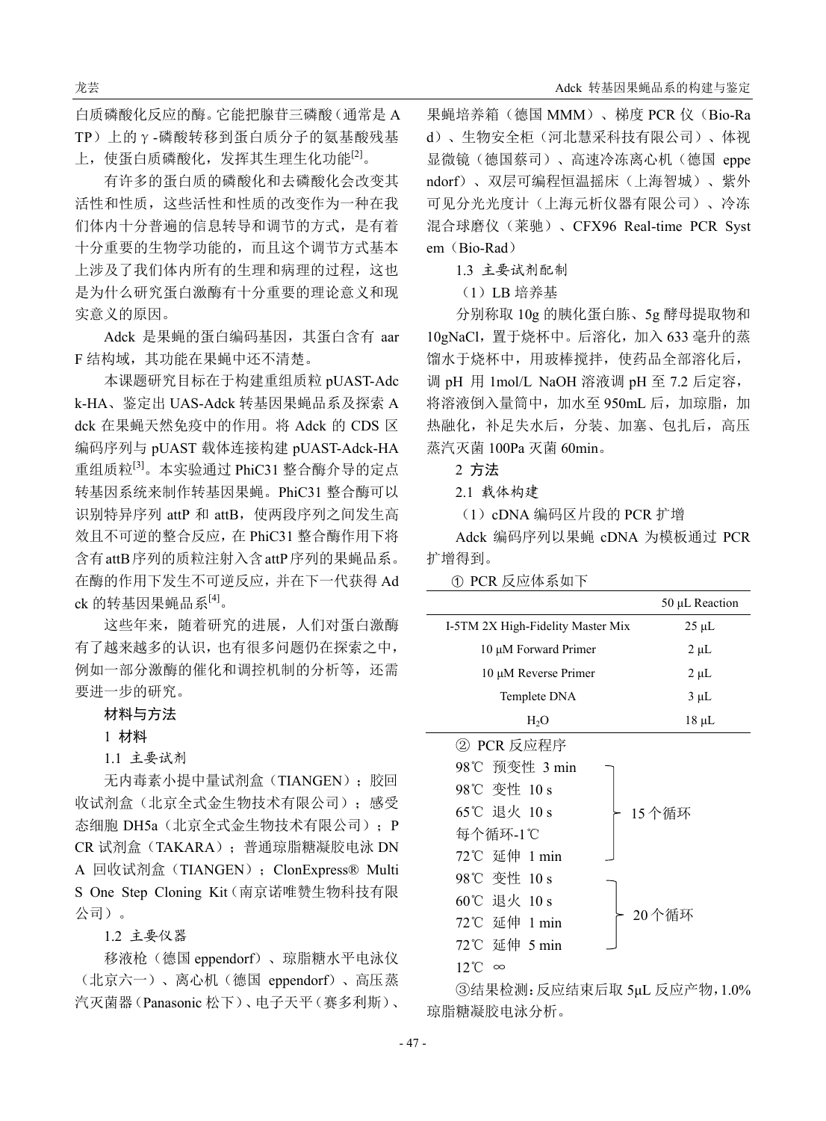白质磷酸化反应的酶。它能把腺苷三磷酸(通常是 A TP)上的γ-磷酸转移到蛋白质分子的氨基酸残基 上,使蛋白质磷酸化,发挥其生理生化功能<sup>[2]</sup>。

有许多的蛋白质的磷酸化和去磷酸化会改变其 活性和性质,这些活性和性质的改变作为一种在我 们体内十分普遍的信息转导和调节的方式,是有着 十分重要的生物学功能的,而且这个调节方式基本 上涉及了我们体内所有的生理和病理的过程,这也 是为什么研究蛋白激酶有十分重要的理论意义和现 实意义的原因。

Adck 是果蝇的蛋白编码基因,其蛋白含有 aar F 结构域, 其功能在果蝇中还不清楚。

本课题研究目标在于构建重组质粒 pUAST-Adc k-HA、鉴定出 UAS-Adck 转基因果蝇品系及探索 A dck 在果蝇天然免疫中的作用。将 Adck 的 CDS 区 编码序列与 pUAST 载体连接构建 pUAST-Adck-HA 重组质粒<sup>[3]</sup>。本实验通过 PhiC31 整合酶介导的定点 转基因系统来制作转基因果蝇。PhiC31 整合酶可以 识别特异序列 attP 和 attB, 使两段序列之间发生高 效且不可逆的整合反应,在 PhiC31 整合酶作用下将 含有attB序列的质粒注射入含attP序列的果蝇品系。 在酶的作用下发生不可逆反应,并在下一代获得 Ad ck 的转基因果蝇品系[4]。

这些年来,随着研究的进展,人们对蛋白激酶 有了越来越多的认识,也有很多问题仍在探索之中, 例如一部分激酶的催化和调控机制的分析等,还需 要进一步的研究。

## 材料与方法

# 1 材料

1.1 主要试剂

无内毒素小提中量试剂盒(TIANGEN);胶回 收试剂盒(北京全式金生物技术有限公司);感受 态细胞 DH5a (北京全式金生物技术有限公司); P CR 试剂盒(TAKARA);普通琼脂糖凝胶电泳 DN A 回收试剂盒 (TIANGEN); ClonExpress® Multi S One Step Cloning Kit(南京诺唯赞生物科技有限 公司)。

# 1.2 主要仪器

移液枪(德国 eppendorf)、琼脂糖水平电泳仪 (北京六一)、离心机(德国 eppendorf)、高压蒸 汽灭菌器(Panasonic 松下)、电子天平(赛多利斯)、

果蝇培养箱(德国 MMM)、梯度 PCR 仪(Bio-Ra d)、生物安全柜(河北慧采科技有限公司)、体视 显微镜(德国蔡司)、高速冷冻离心机(德国 eppe ndorf)、双层可编程恒温摇床(上海智城)、紫外 可见分光光度计(上海元析仪器有限公司)、冷冻 混合球磨仪(莱驰)、CFX96 Real-time PCR Syst em (Bio-Rad)

## 1.3 主要试剂配制

(1)LB 培养基

分别称取 10g 的胰化蛋白胨、5g 酵母提取物和 10gNaCl,置于烧杯中。后溶化,加入 633 毫升的蒸 馏水于烧杯中,用玻棒搅拌,使药品全部溶化后, 调 pH 用 1mol/L NaOH 溶液调 pH 至 7.2 后定容, 将溶液倒入量筒中,加水至 950mL 后, 加琼脂, 加 热融化,补足失水后,分装、加塞、包扎后,高压 蒸汽灭菌 100Pa 灭菌 60min。

2 方法

2.1 载体构建

(1)cDNA 编码区片段的 PCR 扩增

Adck 编码序列以果蝇 cDNA 为模板通过 PCR 扩增得到。

① PCR 反应体系如下

|                                   | 50 µL Reaction |
|-----------------------------------|----------------|
| I-5TM 2X High-Fidelity Master Mix | $25 \mu L$     |
| 10 μM Forward Primer              | $2 \mu L$      |
| 10 μM Reverse Primer              | $2 \mu L$      |
| Templete DNA                      | $3 \mu L$      |
| H <sub>2</sub> O                  | 18 µL          |

| ② PCR 反应程序        |        |
|-------------------|--------|
| 98℃ 预变性 3 min     |        |
| 98℃ 变性 10 s       |        |
| 65℃ 退火 10 s       | 15 个循环 |
| 每个循环-1℃           |        |
| 72℃ 延伸 1 min      |        |
| 98℃ 变性 10 s       |        |
| 60℃ 退火 10 s       |        |
| 72℃ 延伸 1 min      | 20个循环  |
| 72℃ 延伸 5 min      |        |
| 12 °C<br>$\infty$ |        |

③结果检测:反应结束后取 5μL 反应产物,1.0% 琼脂糖凝胶电泳分析。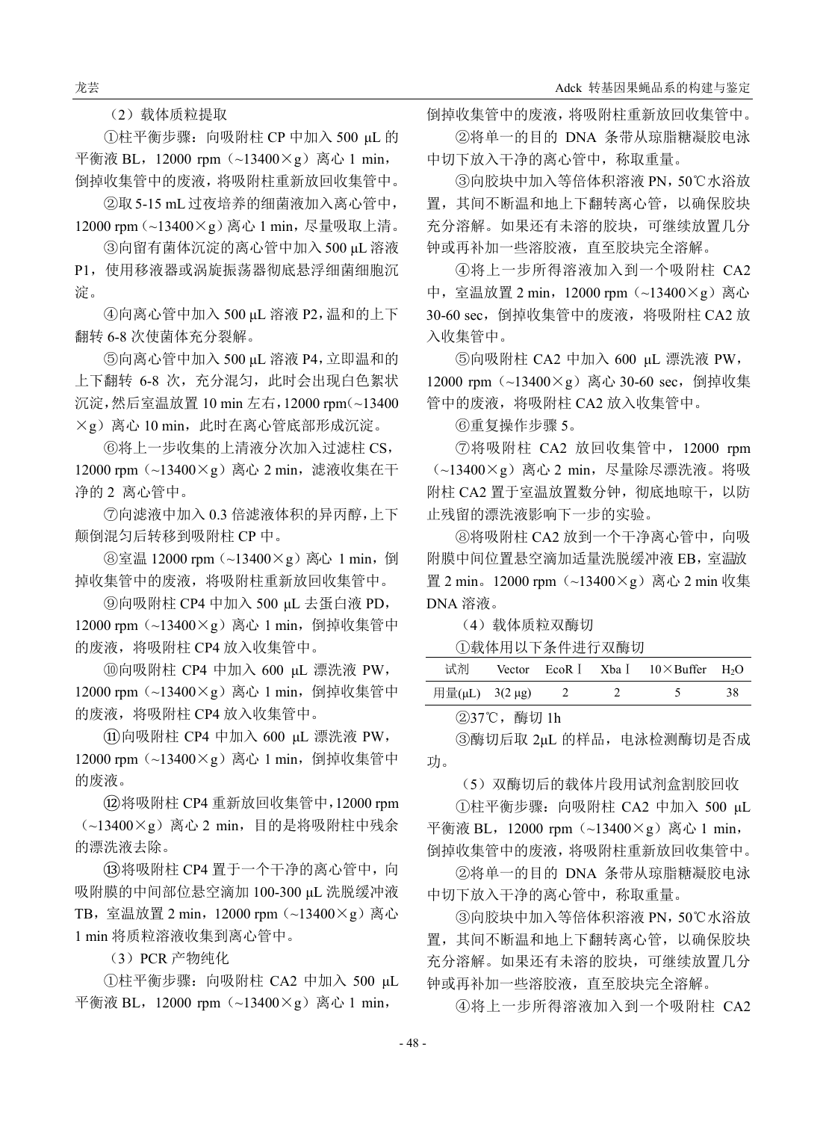龙芸 Adck 转基因果蝇品系的构建与鉴定

(2)载体质粒提取

①柱平衡步骤:向吸附柱 CP 中加入 500 μL 的 平衡液 BL, 12000 rpm (~13400×g) 离心 1 min, 倒掉收集管中的废液,将吸附柱重新放回收集管中。

②取5-15 mL过夜培养的细菌液加入离心管中, 12000 rpm(~13400×g)离心 1 min,尽量吸取上清。

③向留有菌体沉淀的离心管中加入 500 μL 溶液 P1,使用移液器或涡旋振荡器彻底悬浮细菌细胞沉 淀。

④向离心管中加入 500 μL 溶液 P2,温和的上下 翻转 6-8 次使菌体充分裂解。

⑤向离心管中加入 500 μL 溶液 P4,立即温和的 上下翻转 6-8 次,充分混匀,此时会出现白色絮状 沉淀,然后室温放置 10 min 左右,12000 rpm(~13400  $\times$ g)离心 10 min, 此时在离心管底部形成沉淀。

⑥将上一步收集的上清液分次加入过滤柱 CS, 12000 rpm(~13400×g)离心 2 min,滤液收集在干 净的 2 离心管中。

⑦向滤液中加入 0.3 倍滤液体积的异丙醇,上下 颠倒混匀后转移到吸附柱 CP 中。

⑧室温 12000 rpm(~13400×g)离心 1 min,倒 掉收集管中的废液,将吸附柱重新放回收集管中。

⑨向吸附柱 CP4 中加入 500 μL 去蛋白液 PD, 12000 rpm (~13400×g) 离心 1 min, 倒掉收集管中 的废液,将吸附柱 CP4 放入收集管中。

⑩向吸附柱 CP4 中加入 600 μL 漂洗液 PW, 12000 rpm (~13400×g) 离心 1 min, 倒掉收集管中 的废液,将吸附柱 CP4 放入收集管中。

⑪向吸附柱 CP4 中加入 600 μL 漂洗液 PW, 12000 rpm (~13400×g) 离心 1 min, 倒掉收集管中 的废液。

⑫将吸附柱 CP4 重新放回收集管中,12000 rpm  $(-13400 \times g)$  离心 2 min, 目的是将吸附柱中残余 的漂洗液去除。

⑬将吸附柱 CP4 置于一个干净的离心管中,向 吸附膜的中间部位悬空滴加 100-300 μL 洗脱缓冲液 TB,室温放置 2 min,12000 rpm(~13400×g)离心 1 min 将质粒溶液收集到离心管中。

(3)PCR 产物纯化

①柱平衡步骤:向吸附柱 CA2 中加入 500 μL 平衡液 BL, 12000 rpm (~13400×g) 离心 1 min,

倒掉收集管中的废液,将吸附柱重新放回收集管中。 ②将单一的目的 DNA 条带从琼脂糖凝胶电泳

中切下放入干净的离心管中,称取重量。

③向胶块中加入等倍体积溶液 PN,50℃水浴放 置,其间不断温和地上下翻转离心管,以确保胶块 充分溶解。如果还有未溶的胶块,可继续放置几分 钟或再补加一些溶胶液,直至胶块完全溶解。

④将上一步所得溶液加入到一个吸附柱 CA2 中,室温放置 2 min, 12000 rpm (~13400×g)离心 30-60 sec, 倒掉收集管中的废液, 将吸附柱 CA2 放 入收集管中。

⑤向吸附柱 CA2 中加入 600 μL 漂洗液 PW, 12000 rpm(~13400×g)离心 30-60 sec,倒掉收集 管中的废液,将吸附柱 CA2 放入收集管中。

⑥重复操作步骤 5。

⑦将吸附柱 CA2 放回收集管中,12000 rpm  $(-13400\times g)$  离心 2 min, 尽量除尽漂洗液。将吸 附柱 CA2 置于室温放置数分钟, 彻底地晾干, 以防 止残留的漂洗液影响下一步的实验。

⑧将吸附柱 CA2 放到一个干净离心管中,向吸 附膜中间位置悬空滴加适量洗脱缓冲液 EB,室温放 置 2 min。12000 rpm(~13400×g)离心 2 min 收集 DNA 溶液。

(4)载体质粒双酶切

①载体用以下条件进行双酶切

| 试剂             |  | Vector $EcoR$   Xba   $10 \times$ Buffer H <sub>2</sub> O |    |
|----------------|--|-----------------------------------------------------------|----|
| 用量(µL) 3(2 µg) |  |                                                           | 38 |

②37℃,酶切 1h

③酶切后取 2μL 的样品,电泳检测酶切是否成 功。

(5)双酶切后的载体片段用试剂盒割胶回收

①柱平衡步骤:向吸附柱 CA2 中加入 500 μL 平衡液 BL, 12000 rpm (~13400×g) 离心 1 min, 倒掉收集管中的废液,将吸附柱重新放回收集管中。

②将单一的目的 DNA 条带从琼脂糖凝胶电泳 中切下放入干净的离心管中,称取重量。

③向胶块中加入等倍体积溶液 PN,50℃水浴放 置,其间不断温和地上下翻转离心管,以确保胶块 充分溶解。如果还有未溶的胶块,可继续放置几分 钟或再补加一些溶胶液,直至胶块完全溶解。

④将上一步所得溶液加入到一个吸附柱 CA2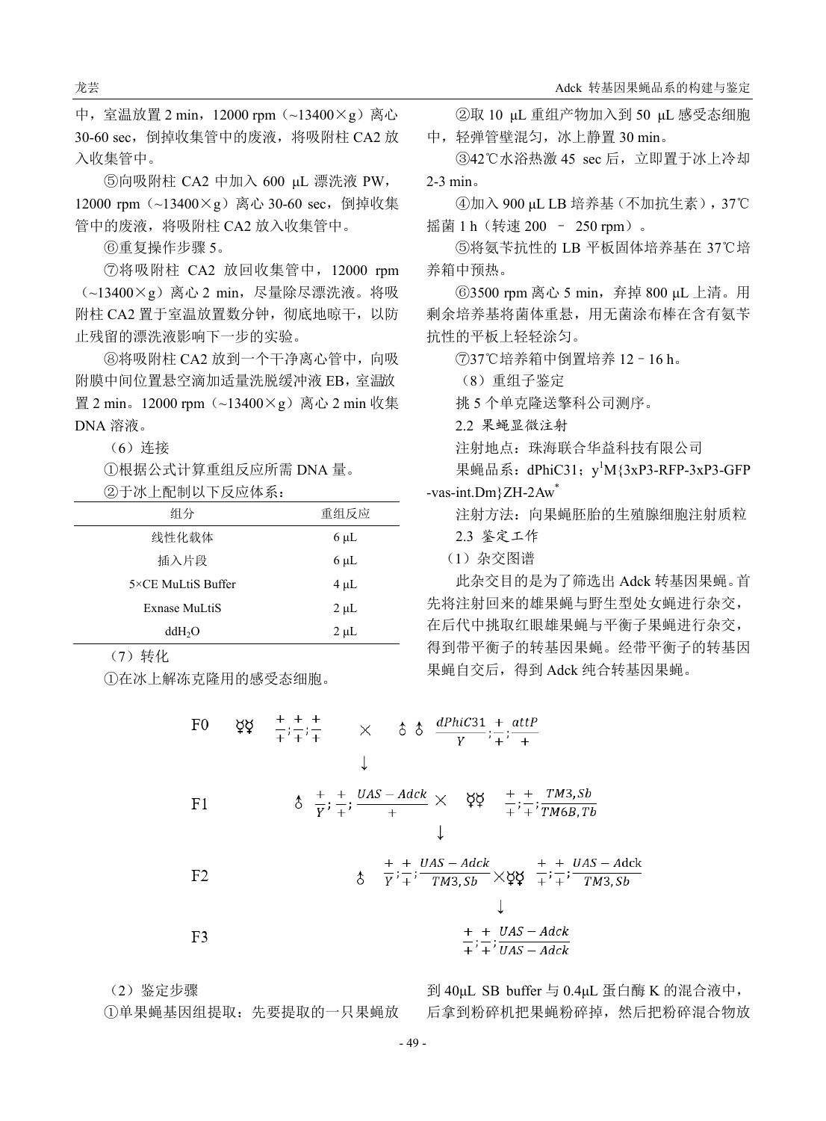中, 室温放置 2 min, 12000 rpm (~13400×g) 离心 30-60 sec, 倒掉收集管中的废液, 将吸附柱 CA2 放 入收集管中。

⑤向吸附柱 CA2 中加入 600 μL 漂洗液 PW, 12000 rpm (~13400×g) 离心 30-60 sec, 倒掉收集 管中的废液,将吸附柱 CA2 放入收集管中。

⑥重复操作步骤 5。

⑦将吸附柱 CA2 放回收集管中,12000 rpm  $(-13400\times g)$  离心 2 min, 尽量除尽漂洗液。将吸 附柱 CA2 置于室温放置数分钟, 彻底地晾干, 以防 止残留的漂洗液影响下一步的实验。

⑧将吸附柱 CA2 放到一个干净离心管中,向吸 附膜中间位置悬空滴加适量洗脱缓冲液 EB,室温放 置 2 min。12000 rpm(~13400×g)离心 2 min 收集 DNA 溶液。

(6)连接

①根据公式计算重组反应所需 DNA 量。

②于冰上配制以下反应体系:

| 组分                 | 重组反应      |
|--------------------|-----------|
| 线性化载体              | $6 \mu L$ |
| 插入片段               | $6 \mu L$ |
| 5×CE MuLtiS Buffer | $4 \mu L$ |
| Exnase MuLtiS      | $2 \mu L$ |
| ddH <sub>2</sub> O | $2 \mu L$ |

(7)转化

①在冰上解冻克隆用的感受态细胞。

②取 10 μL 重组产物加入到 50 μL 感受态细胞 中,轻弹管壁混匀,冰上静置 30 min。

③42℃水浴热激 45 sec 后,立即置于冰上冷却 2-3 min。

④加入 900 μL LB 培养基(不加抗生素),37℃ 摇菌 1 h (转速 200 - 250 rpm)。

⑤将氨苄抗性的 LB 平板固体培养基在 37℃培 养箱中预热。

⑥3500 rpm 离心 5 min,弃掉 800 μL 上清。用 剩余培养基将菌体重悬,用无菌涂布棒在含有氨苄 抗性的平板上轻轻涂匀。

⑦37℃培养箱中倒置培养 12–16 h。

(8)重组子鉴定

挑 5 个单克隆送擎科公司测序。

2.2 果蝇显微注射

注射地点:珠海联合华益科技有限公司

果蝇品系: dPhiC31; y<sup>1</sup>M{3xP3-RFP-3xP3-GFP -vas-int.Dm}ZH-2Aw\*

注射方法:向果蝇胚胎的生殖腺细胞注射质粒

2.3 鉴定工作

(1)杂交图谱

此杂交目的是为了筛选出 Adck 转基因果蝇。首 先将注射回来的雄果蝇与野生型处女蝇进行杂交, 在后代中挑取红眼雄果蝇与平衡子果蝇进行杂交, 得到带平衡子的转基因果蝇。经带平衡子的转基因 果蝇自交后,得到 Adck 纯合转基因果蝇。

F0 
$$
\xi \xi
$$
  $\frac{+}{+} \frac{+}{+} \frac{+}{+}$   $\times$   $\delta$   $\delta$   $\frac{dPhiC31}{Y} \div \frac{+}{+} \frac{atP}{+}$   
\nF1  $\delta$   $\frac{+}{Y} \div \frac{+}{+} \frac{UAS - Adck}{+}$   $\times$   $\xi \xi$   $\frac{+}{+} \div \frac{+}{+} \frac{TM3, Sb}{TM6B, Tb}$   
\nF2  $\delta$   $\frac{+}{Y} \div \frac{+}{+} \frac{UAS - Adck}{TM3, Sb} \times \xi \xi$   $\frac{+}{+} \div \frac{+}{+} \frac{UAS - Adck}{TM3, Sb}$ 

F3 
$$
\frac{+}{+} \div \frac{y}{y} = \frac{y}{x} + \frac{y}{y} = \frac{y}{x} + \frac{z}{y} = \frac{y}{x}
$$

(2)鉴定步骤

①单果蝇基因组提取:先要提取的一只果蝇放

到 40μL SB buffer 与 0.4μL 蛋白酶 K 的混合液中, 后拿到粉碎机把果蝇粉碎掉,然后把粉碎混合物放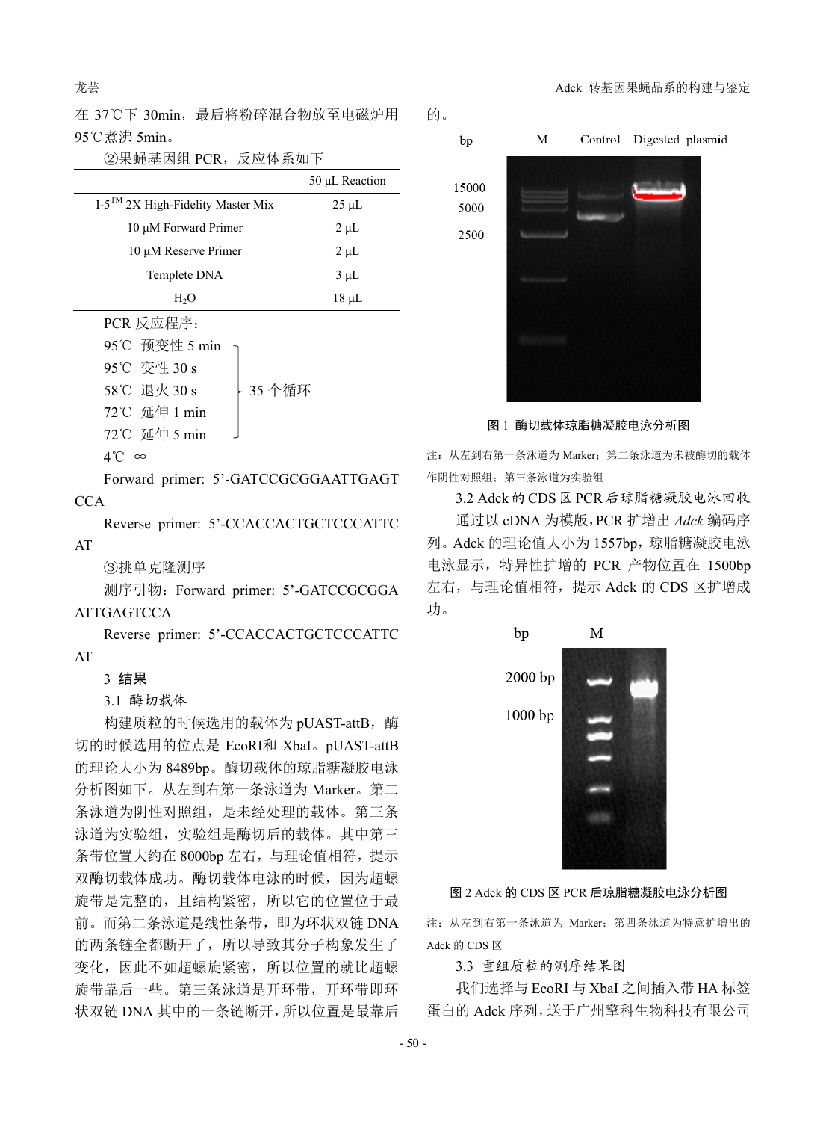在 37℃下 30min,最后将粉碎混合物放至电磁炉用 95℃煮沸 5min。

| ②果蝇基因组 PCR,反应体系如下                   |                |
|-------------------------------------|----------------|
|                                     | 50 µL Reaction |
| $I-5TM 2X$ High-Fidelity Master Mix | $25 \mu L$     |
| 10 μM Forward Primer                | $2 \mu L$      |
| 10 μM Reserve Primer                | $2 \mu L$      |
| Templete DNA                        | $3 \mu L$      |
| H <sub>2</sub> O                    | $18 \mu L$     |
| PCR 反应程序:                           |                |
| 95℃ 预变性 5 min                       |                |
| 95℃ 变性 30 s                         |                |
| 35 个循环<br>58℃ 退火 30 s               |                |
| 72℃ 延伸 1 min                        |                |
| 72℃ 延伸 5 min                        |                |

4℃ ∞

Forward primer: 5'-GATCCGCGGAATTGAGT **CCA** 

Reverse primer: 5'-CCACCACTGCTCCCATTC

③挑单克隆测序

测序引物: Forward primer: 5'-GATCCGCGGA

## **ATTGAGTCCA**

AT

Reverse primer: 5'-CCACCACTGCTCCCATTC AT

## 3 结果

3.1 酶切载体

构建质粒的时候选用的载体为 pUAST-attB, 酶 切的时候选用的位点是 EcoRⅠ和 XbaⅠ。pUAST-attB 的理论大小为 8489bp。酶切载体的琼脂糖凝胶电泳 分析图如下。从左到右第一条泳道为 Marker。第二 条泳道为阴性对照组,是未经处理的载体。第三条 泳道为实验组,实验组是酶切后的载体。其中第三 条带位置大约在 8000bp 左右,与理论值相符,提示 双酶切载体成功。酶切载体电泳的时候,因为超螺 旋带是完整的,且结构紧密,所以它的位置位于最 前。而第二条泳道是线性条带,即为环状双链 DNA 的两条链全都断开了,所以导致其分子构象发生了 变化,因此不如超螺旋紧密,所以位置的就比超螺 旋带靠后一些。第三条泳道是开环带,开环带即环 状双链 DNA 其中的一条链断开,所以位置是最靠后



的。

图 1 酶切载体琼脂糖凝胶电泳分析图

注: 从左到右第一条泳道为 Marker; 第二条泳道为未被酶切的载体 作阴性对照组;第三条泳道为实验组

3.2 Adck 的 CDS 区 PCR 后琼脂糖凝胶电泳回收 通过以 cDNA 为模版,PCR 扩增出 *Adck* 编码序 列。Adck 的理论值大小为 1557bp, 琼脂糖凝胶电泳 电泳显示,特异性扩增的 PCR 产物位置在 1500bp 左右,与理论值相符,提示 Adck 的 CDS 区扩增成 功。



图 2 Adck 的 CDS 区 PCR 后琼脂糖凝胶电泳分析图

注: 从左到右第一条泳道为 Marker; 第四条泳道为特意扩增出的 Adck 的 CDS 区

3.3 重组质粒的测序结果图

我们选择与 EcoRI 与 XbaI 之间插入带 HA 标签 蛋白的 Adck 序列,送于广州擎科生物科技有限公司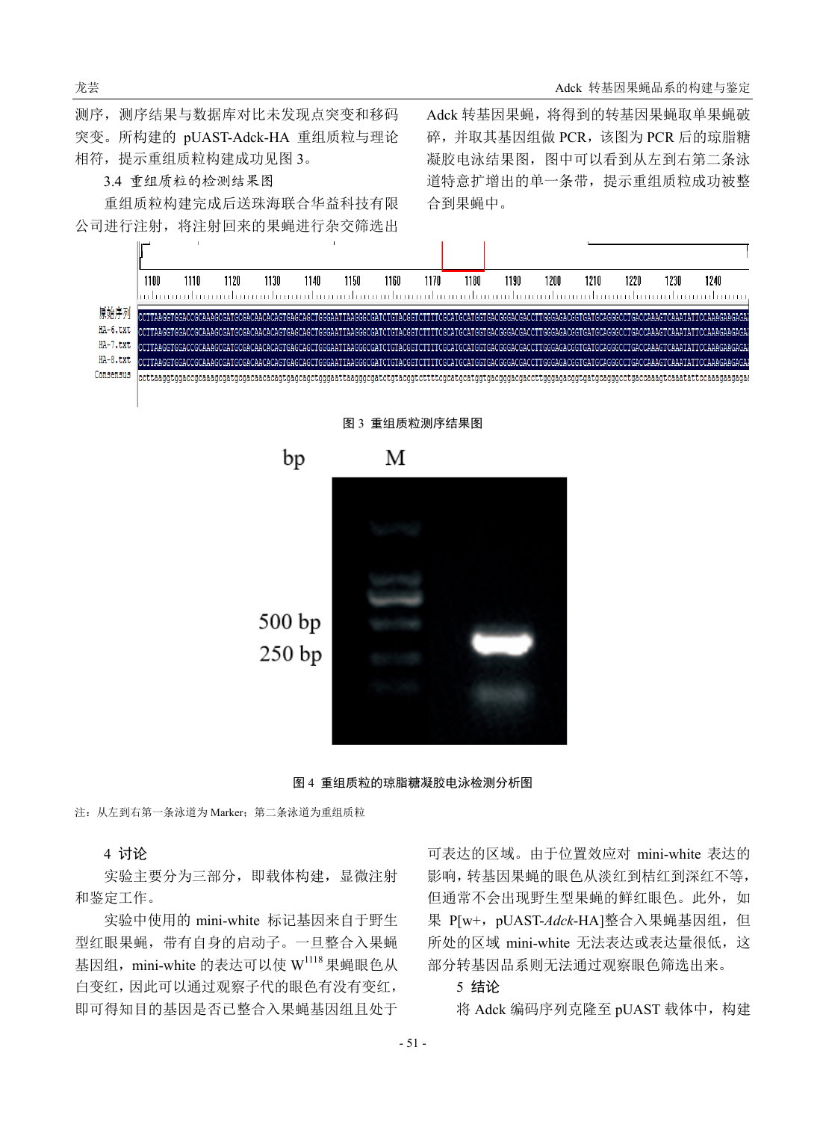测序,测序结果与数据库对比未发现点突变和移码 突变。所构建的 pUAST-Adck-HA 重组质粒与理论 相符,提示重组质粒构建成功见图 3。

# 3.4 重组质粒的检测结果图

重组质粒构建完成后送珠海联合华益科技有限 公司进行注射,将注射回来的果蝇进行杂交筛选出 Adck 转基因果蝇,将得到的转基因果蝇取单果蝇破 碎,并取其基因组做 PCR,该图为 PCR 后的琼脂糖 凝胶电泳结果图,图中可以看到从左到右第二条泳 道特意扩增出的单一条带,提示重组质粒成功被整 合到果蝇中。



图 4 重组质粒的琼脂糖凝胶电泳检测分析图

注: 从左到右第一条泳道为 Marker; 第二条泳道为重组质粒

## 4 讨论

实验主要分为三部分,即载体构建,显微注射 和鉴定工作。

实验中使用的 mini-white 标记基因来自于野生 型红眼果蝇,带有自身的启动子。一旦整合入果蝇 基因组, mini-white 的表达可以使 W1118 果蝇眼色从 白变红,因此可以通过观察子代的眼色有没有变红, 即可得知目的基因是否已整合入果蝇基因组且处于

可表达的区域。由于位置效应对 mini-white 表达的 影响,转基因果蝇的眼色从淡红到桔红到深红不等, 但通常不会出现野生型果蝇的鲜红眼色。此外,如 果 P[w+, pUAST-Adck-HA]整合入果蝇基因组, 但 所处的区域 mini-white 无法表达或表达量很低, 这 部分转基因品系则无法通过观察眼色筛选出来。

#### 5 结论

将 Adck 编码序列克隆至 pUAST 载体中, 构建